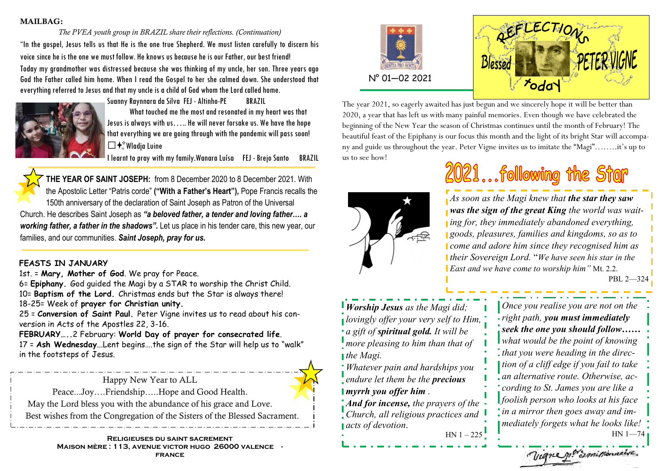## MAILBAG:

*The PVEA youth group in BRAZIL share their reflections. (Continuation)*

"In the gospel, Jesus tells us that He is the one true Shepherd. We must listen carefully to discern his voice since he is the one we must follow. He knows us because he is our Father, our best friend! Today my grandmother was distressed because she was thinking of my uncle, her son. Three years ago God the Father called him home. When I read the Gospel to her she calmed down. She understood that everything referred to Jesus and that my uncle is a child of God whom the Lord called home.



Suanny Raynnara da Silva FEJ - Altinho-PE BRAZIL

What touched me the most and resonated in my heart was that Jesus is always with us….. He will never forsake us. We have the hope that everything we are going through with the pandemic will pass soon! ✨Wladja Luine

I learnt to pray with my family.Wanara Luísa FEJ -Brejo Santo BRAZIL

**THE YEAR OF SAINT JOSEPH:** from 8 December 2020 to 8 December 2021. With the Apostolic Letter "Patris corde" **("With a Father's Heart"),** Pope Francis recalls the 150th anniversary of the declaration of Saint Joseph as Patron of the Universal Church. He describes Saint Joseph as *"a beloved father, a tender and loving father…. a working father, a father in the shadows".* Let us place in his tender care, this new year, our families, and our communities. *Saint Joseph, pray for us.*

## **FEASTS IN JANUARY**

1st. = **Mary, Mother of God**. We pray for Peace.

6= **Epiphany.** God guided the Magi by a STAR to worship the Christ Child. 10= **Baptism of the Lord.** Christmas ends but the Star is always there! 18-25= Week of **prayer for Christian unity.**

25 = **Conversion of Saint Paul.** Peter Vigne invites us to read about his conversion in Acts of the Apostles 22, 3-16.

**FEBRUARY…..**2 February: **World Day of prayer for consecrated life**. 17 = **Ash Wednesday**...Lent begins….the sign of the Star will help us to "walk" in the footsteps of Jesus.

Happy New Year to ALL Peace...Joy….Friendship…..Hope and Good Health. May the Lord bless you with the abundance of his grace and Love. Best wishes from the Congregation of the Sisters of the Blessed Sacrament.

**Religieuses du saint sacrement Maison mère : 113, avenue victor hugo 26000 valence france**





The year 2021, so eagerly awaited has just begun and we sincerely hope it will be better than 2020, a year that has left us with many painful memories. Even though we have celebrated the beginning of the New Year the season of Christmas continues until the month of February! The beautiful feast of the Epiphany is our focus this month and the light of its bright Star will accompany and guide us throughout the year. Peter Vigne invites us to imitate the "Magi"……..it's up to us to see how!



## 2021...following the Star

*As soon as the Magi knew that the star they saw was the sign of the great King the world was waiting for, they immediately abandoned everything, goods, pleasures, families and kingdoms, so as to come and adore him since they recognised him as their Sovereign Lord.* "*We have seen his star in the East and we have come to worship him"* Mt. 2.2. PBL 2—324

*Worship Jesus as the Magi did; lovingly offer your very self to Him, a gift of spiritual gold. It will be more pleasing to him than that of the Magi.*

*Whatever pain and hardships you endure let them be the precious myrrh you offer him .* 

*And for incense, the prayers of the Church, all religious practices and acts of devotion*.

 $HN 1 - 225$ 

*Once you realise you are not on the right path, you must immediately seek the one you should follow…… what would be the point of knowing that you were heading in the direction of a cliff edge if you fail to take an alternative route. Otherwise, according to St. James you are like a foolish person who looks at his face in a mirror then goes away and immediately forgets what he looks like!*  HN 1—74

Vigne pt Esmissionnair